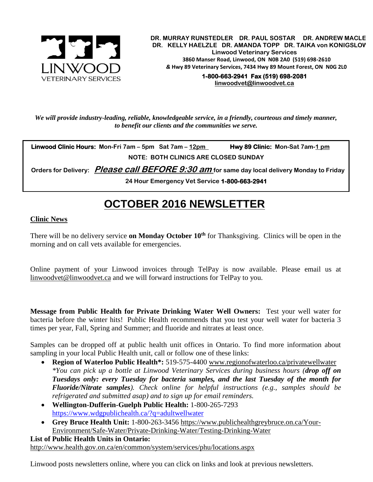

**DR. MURRAY RUNSTEDLER DR. PAUL SOSTAR DR. ANDREW MACLE DR. KELLY HAELZLE DR. AMANDA TOPP DR. TAIKA von KONIGSLOW Linwood Veterinary Services 3860 Manser Road, Linwood, ON N0B 2A0 (519) 698-2610** *&* **Hwy 89 Veterinary Services, 7434 Hwy 89 Mount Forest, ON N0G 2L0**

**1-800-663-2941 Fax (519) 698-2081 [linwoodvet@linwoodvet.ca](mailto:linwoodvet@linwoodvet.ca)**

*We will provide industry-leading, reliable, knowledgeable service, in a friendly, courteous and timely manner, to benefit our clients and the communities we serve.*

**Linwood Clinic Hours:** Mon-Fri 7am – 5pm Sat 7am – 12pm Hwy 89 Clinic: Mon-Sat 7am-1 pm **NOTE: BOTH CLINICS ARE CLOSED SUNDAY**

 **Orders for Delivery: Please call BEFORE 9:30 am for same day local delivery Monday to Friday** 

**24 Hour Emergency Vet Service 1-800-663-2941** 

# **OCTOBER 2016 NEWSLETTER**

## **Clinic News**

There will be no delivery service **on Monday October 10th** for Thanksgiving. Clinics will be open in the morning and on call vets available for emergencies.

Online payment of your Linwood invoices through TelPay is now available. Please email us at [linwoodvet@linwoodvet.ca](mailto:linwoodvet@linwoodvet.ca) and we will forward instructions for TelPay to you.

**Message from Public Health for Private Drinking Water Well Owners:** Test your well water for bacteria before the winter hits! Public Health recommends that you test your well water for bacteria 3 times per year, Fall, Spring and Summer; and fluoride and nitrates at least once.

Samples can be dropped off at public health unit offices in Ontario. To find more information about sampling in your local Public Health unit, call or follow one of these links:

- **Region of Waterloo Public Health\*:** 519-575-4400 [www.regionofwaterloo.ca/privatewellwater](http://www.regionofwaterloo.ca/privatewellwater) *\*You can pick up a bottle at Linwood Veterinary Services during business hours (drop off on Tuesdays only: every Tuesday for bacteria samples, and the last Tuesday of the month for Fluoride/Nitrate samples). Check online for helpful instructions (e.g., samples should be refrigerated and submitted asap) and to sign up for email reminders.*
- **Wellington-Dufferin-Guelph Public Health:** 1-800-265-7293 <https://www.wdgpublichealth.ca/?q=adultwellwater>
- **Grey Bruce Health Unit:** 1-800-263-3456 [https://www.publichealthgreybruce.on.ca/Your-](https://www.publichealthgreybruce.on.ca/Your-Environment/Safe-Water/Private-Drinking-Water/Testing-Drinking-Water)[Environment/Safe-Water/Private-Drinking-Water/Testing-Drinking-Water](https://www.publichealthgreybruce.on.ca/Your-Environment/Safe-Water/Private-Drinking-Water/Testing-Drinking-Water)

#### **List of Public Health Units in Ontario:**  <http://www.health.gov.on.ca/en/common/system/services/phu/locations.aspx>

Linwood posts newsletters online, where you can click on links and look at previous newsletters.